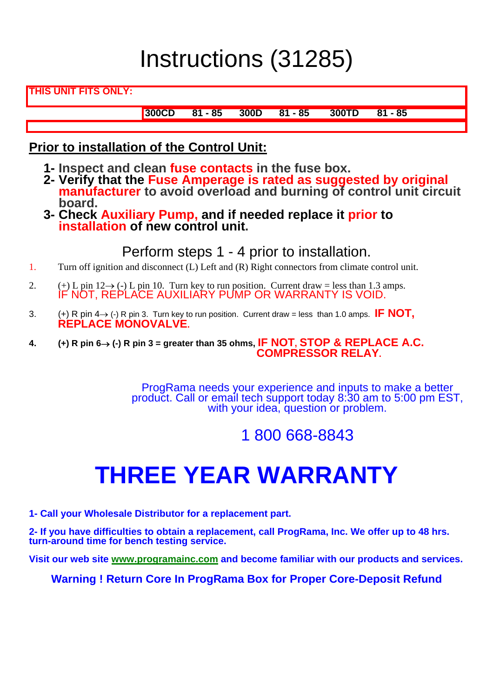## Instructions (31285)

### **THIS UNIT FITS ONLY:**

**300CD 81 - 85 300D 81 - 85 300TD 81 - 85**

### **Prior to installation of the Control Unit:**

- **1- Inspect and clean fuse contacts in the fuse box.**
- **2- Verify that the Fuse Amperage is rated as suggested by original manufacturer to avoid overload and burning of control unit circuit board.**
- **3- Check Auxiliary Pump, and if needed replace it prior to installation of new control unit.**

Perform steps 1 - 4 prior to installation.

- 1. Turn off ignition and disconnect (L) Left and (R) Right connectors from climate control unit.
- 2. (+) L pin  $12 \rightarrow$  (-) L pin 10. Turn key to run position. Current draw = less than 1.3 amps. IF NOT, REPLACE AUXILIARY PUMP OR WARRANTY IS VOID.
- 3.  $(+)$  R pin  $4 \rightarrow$  (-) R pin 3. Turn key to run position. Current draw = less than 1.0 amps. **IF NOT, REPLACE MONOVALVE.**
- **4.** (+) R pin 6→ (-) R pin 3 = greater than 35 ohms, IF NOT, STOP & REPLACE A.C. COMPRESSOR RELAY.

ProgRama needs your experience and inputs to make a better product. Call or email tech support today 8:30 am to 5:00 pm EST, with your idea, question or problem.

### 1 800 668-8843

# **THREE YEAR WARRANTY**

**1- Call your Wholesale Distributor for a replacement part.** 

**2- If you have difficulties to obtain a replacement, call ProgRama, Inc. We offer up to 48 hrs. turn-around time for bench testing service.** 

**Visit our web site www.programainc.com and become familiar with our products and services.** 

**Warning ! Return Core In ProgRama Box for Proper Core-Deposit Refund**